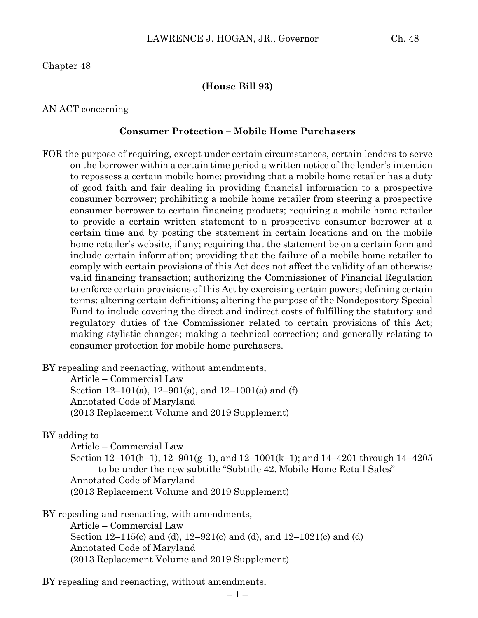Chapter 48

#### **(House Bill 93)**

AN ACT concerning

#### **Consumer Protection – Mobile Home Purchasers**

FOR the purpose of requiring, except under certain circumstances, certain lenders to serve on the borrower within a certain time period a written notice of the lender's intention to repossess a certain mobile home; providing that a mobile home retailer has a duty of good faith and fair dealing in providing financial information to a prospective consumer borrower; prohibiting a mobile home retailer from steering a prospective consumer borrower to certain financing products; requiring a mobile home retailer to provide a certain written statement to a prospective consumer borrower at a certain time and by posting the statement in certain locations and on the mobile home retailer's website, if any; requiring that the statement be on a certain form and include certain information; providing that the failure of a mobile home retailer to comply with certain provisions of this Act does not affect the validity of an otherwise valid financing transaction; authorizing the Commissioner of Financial Regulation to enforce certain provisions of this Act by exercising certain powers; defining certain terms; altering certain definitions; altering the purpose of the Nondepository Special Fund to include covering the direct and indirect costs of fulfilling the statutory and regulatory duties of the Commissioner related to certain provisions of this Act; making stylistic changes; making a technical correction; and generally relating to consumer protection for mobile home purchasers.

BY repealing and reenacting, without amendments,

Article – Commercial Law Section 12–101(a), 12–901(a), and 12–1001(a) and (f) Annotated Code of Maryland (2013 Replacement Volume and 2019 Supplement)

#### BY adding to

Article – Commercial Law

Section 12–101(h–1), 12–901(g–1), and 12–1001(k–1); and 14–4201 through 14–4205 to be under the new subtitle "Subtitle 42. Mobile Home Retail Sales" Annotated Code of Maryland (2013 Replacement Volume and 2019 Supplement)

BY repealing and reenacting, with amendments,

Article – Commercial Law Section 12–115(c) and (d), 12–921(c) and (d), and 12–1021(c) and (d) Annotated Code of Maryland (2013 Replacement Volume and 2019 Supplement)

BY repealing and reenacting, without amendments,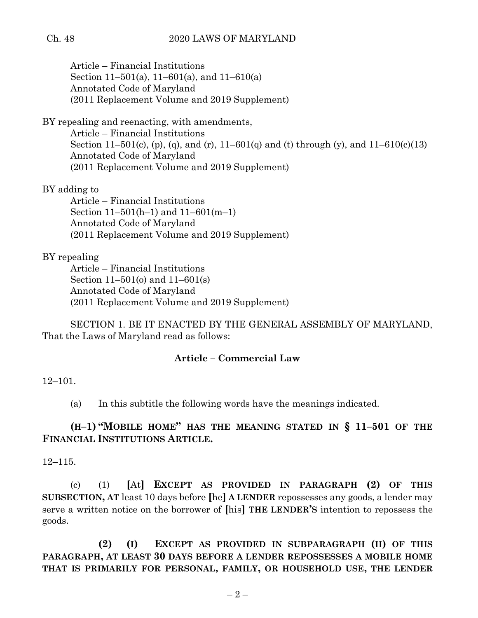Article – Financial Institutions Section 11–501(a), 11–601(a), and 11–610(a) Annotated Code of Maryland (2011 Replacement Volume and 2019 Supplement)

BY repealing and reenacting, with amendments,

Article – Financial Institutions Section 11–501(c), (p), (q), and (r), 11–601(q) and (t) through (y), and  $11-610(c)(13)$ Annotated Code of Maryland (2011 Replacement Volume and 2019 Supplement)

BY adding to

Article – Financial Institutions Section 11–501(h–1) and 11–601(m–1) Annotated Code of Maryland (2011 Replacement Volume and 2019 Supplement)

## BY repealing

Article – Financial Institutions Section 11–501(o) and 11–601(s) Annotated Code of Maryland (2011 Replacement Volume and 2019 Supplement)

SECTION 1. BE IT ENACTED BY THE GENERAL ASSEMBLY OF MARYLAND, That the Laws of Maryland read as follows:

## **Article – Commercial Law**

## 12–101.

(a) In this subtitle the following words have the meanings indicated.

# **(H–1) "MOBILE HOME" HAS THE MEANING STATED IN § 11–501 OF THE FINANCIAL INSTITUTIONS ARTICLE.**

12–115.

(c) (1) **[**At**] EXCEPT AS PROVIDED IN PARAGRAPH (2) OF THIS SUBSECTION, AT** least 10 days before **[**he**] A LENDER** repossesses any goods, a lender may serve a written notice on the borrower of **[**his**] THE LENDER'S** intention to repossess the goods.

**(2) (I) EXCEPT AS PROVIDED IN SUBPARAGRAPH (II) OF THIS PARAGRAPH, AT LEAST 30 DAYS BEFORE A LENDER REPOSSESSES A MOBILE HOME THAT IS PRIMARILY FOR PERSONAL, FAMILY, OR HOUSEHOLD USE, THE LENDER**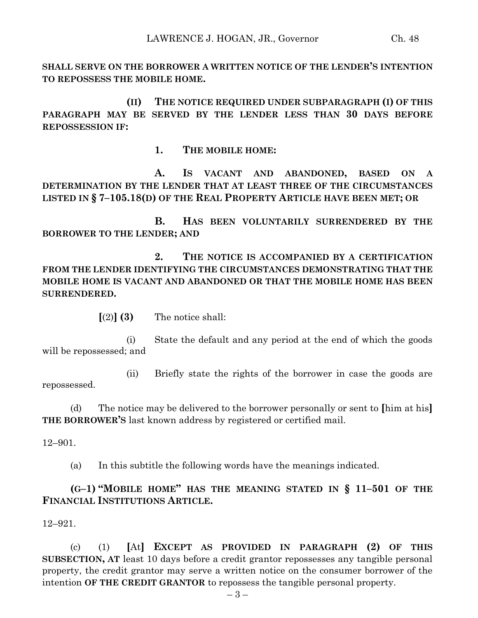**SHALL SERVE ON THE BORROWER A WRITTEN NOTICE OF THE LENDER'S INTENTION TO REPOSSESS THE MOBILE HOME.**

**(II) THE NOTICE REQUIRED UNDER SUBPARAGRAPH (I) OF THIS PARAGRAPH MAY BE SERVED BY THE LENDER LESS THAN 30 DAYS BEFORE REPOSSESSION IF:**

**1. THE MOBILE HOME:**

**A. IS VACANT AND ABANDONED, BASED ON A DETERMINATION BY THE LENDER THAT AT LEAST THREE OF THE CIRCUMSTANCES LISTED IN § 7–105.18(D) OF THE REAL PROPERTY ARTICLE HAVE BEEN MET; OR**

**B. HAS BEEN VOLUNTARILY SURRENDERED BY THE BORROWER TO THE LENDER; AND**

**2. THE NOTICE IS ACCOMPANIED BY A CERTIFICATION FROM THE LENDER IDENTIFYING THE CIRCUMSTANCES DEMONSTRATING THAT THE MOBILE HOME IS VACANT AND ABANDONED OR THAT THE MOBILE HOME HAS BEEN SURRENDERED.**

 $\lceil (2) \rceil$  **(3)** The notice shall:

(i) State the default and any period at the end of which the goods will be repossessed; and

(ii) Briefly state the rights of the borrower in case the goods are repossessed.

(d) The notice may be delivered to the borrower personally or sent to **[**him at his**] THE BORROWER'S** last known address by registered or certified mail.

12–901.

(a) In this subtitle the following words have the meanings indicated.

**(G–1) "MOBILE HOME" HAS THE MEANING STATED IN § 11–501 OF THE FINANCIAL INSTITUTIONS ARTICLE.**

12–921.

(c) (1) **[**At**] EXCEPT AS PROVIDED IN PARAGRAPH (2) OF THIS SUBSECTION, AT** least 10 days before a credit grantor repossesses any tangible personal property, the credit grantor may serve a written notice on the consumer borrower of the intention **OF THE CREDIT GRANTOR** to repossess the tangible personal property.

– 3 –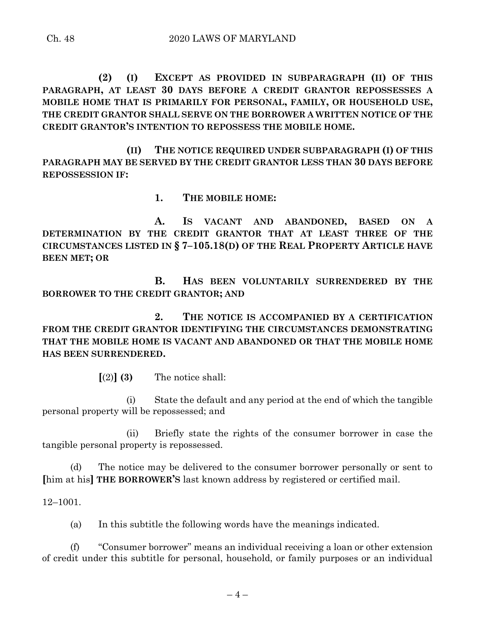**(2) (I) EXCEPT AS PROVIDED IN SUBPARAGRAPH (II) OF THIS PARAGRAPH, AT LEAST 30 DAYS BEFORE A CREDIT GRANTOR REPOSSESSES A MOBILE HOME THAT IS PRIMARILY FOR PERSONAL, FAMILY, OR HOUSEHOLD USE, THE CREDIT GRANTOR SHALL SERVE ON THE BORROWER A WRITTEN NOTICE OF THE CREDIT GRANTOR'S INTENTION TO REPOSSESS THE MOBILE HOME.**

**(II) THE NOTICE REQUIRED UNDER SUBPARAGRAPH (I) OF THIS PARAGRAPH MAY BE SERVED BY THE CREDIT GRANTOR LESS THAN 30 DAYS BEFORE REPOSSESSION IF:**

**1. THE MOBILE HOME:**

**A. IS VACANT AND ABANDONED, BASED ON A DETERMINATION BY THE CREDIT GRANTOR THAT AT LEAST THREE OF THE CIRCUMSTANCES LISTED IN § 7–105.18(D) OF THE REAL PROPERTY ARTICLE HAVE BEEN MET; OR**

**B. HAS BEEN VOLUNTARILY SURRENDERED BY THE BORROWER TO THE CREDIT GRANTOR; AND**

**2. THE NOTICE IS ACCOMPANIED BY A CERTIFICATION FROM THE CREDIT GRANTOR IDENTIFYING THE CIRCUMSTANCES DEMONSTRATING THAT THE MOBILE HOME IS VACANT AND ABANDONED OR THAT THE MOBILE HOME HAS BEEN SURRENDERED.**

 $\lceil (2) \rceil$  **(3)** The notice shall:

(i) State the default and any period at the end of which the tangible personal property will be repossessed; and

(ii) Briefly state the rights of the consumer borrower in case the tangible personal property is repossessed.

(d) The notice may be delivered to the consumer borrower personally or sent to **[**him at his**] THE BORROWER'S** last known address by registered or certified mail.

12–1001.

(a) In this subtitle the following words have the meanings indicated.

(f) "Consumer borrower" means an individual receiving a loan or other extension of credit under this subtitle for personal, household, or family purposes or an individual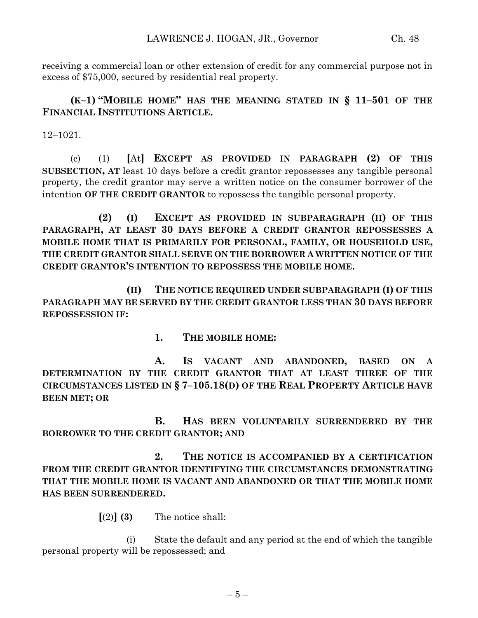receiving a commercial loan or other extension of credit for any commercial purpose not in excess of \$75,000, secured by residential real property.

**(K–1) "MOBILE HOME" HAS THE MEANING STATED IN § 11–501 OF THE FINANCIAL INSTITUTIONS ARTICLE.**

12–1021.

(c) (1) **[**At**] EXCEPT AS PROVIDED IN PARAGRAPH (2) OF THIS SUBSECTION, AT** least 10 days before a credit grantor repossesses any tangible personal property, the credit grantor may serve a written notice on the consumer borrower of the intention **OF THE CREDIT GRANTOR** to repossess the tangible personal property.

**(2) (I) EXCEPT AS PROVIDED IN SUBPARAGRAPH (II) OF THIS PARAGRAPH, AT LEAST 30 DAYS BEFORE A CREDIT GRANTOR REPOSSESSES A MOBILE HOME THAT IS PRIMARILY FOR PERSONAL, FAMILY, OR HOUSEHOLD USE, THE CREDIT GRANTOR SHALL SERVE ON THE BORROWER A WRITTEN NOTICE OF THE CREDIT GRANTOR'S INTENTION TO REPOSSESS THE MOBILE HOME.**

**(II) THE NOTICE REQUIRED UNDER SUBPARAGRAPH (I) OF THIS PARAGRAPH MAY BE SERVED BY THE CREDIT GRANTOR LESS THAN 30 DAYS BEFORE REPOSSESSION IF:**

**1. THE MOBILE HOME:**

**A. IS VACANT AND ABANDONED, BASED ON A DETERMINATION BY THE CREDIT GRANTOR THAT AT LEAST THREE OF THE CIRCUMSTANCES LISTED IN § 7–105.18(D) OF THE REAL PROPERTY ARTICLE HAVE BEEN MET; OR**

**B. HAS BEEN VOLUNTARILY SURRENDERED BY THE BORROWER TO THE CREDIT GRANTOR; AND**

**2. THE NOTICE IS ACCOMPANIED BY A CERTIFICATION FROM THE CREDIT GRANTOR IDENTIFYING THE CIRCUMSTANCES DEMONSTRATING THAT THE MOBILE HOME IS VACANT AND ABANDONED OR THAT THE MOBILE HOME HAS BEEN SURRENDERED.**

 $\lceil(2)\rceil$  **(3)** The notice shall:

(i) State the default and any period at the end of which the tangible personal property will be repossessed; and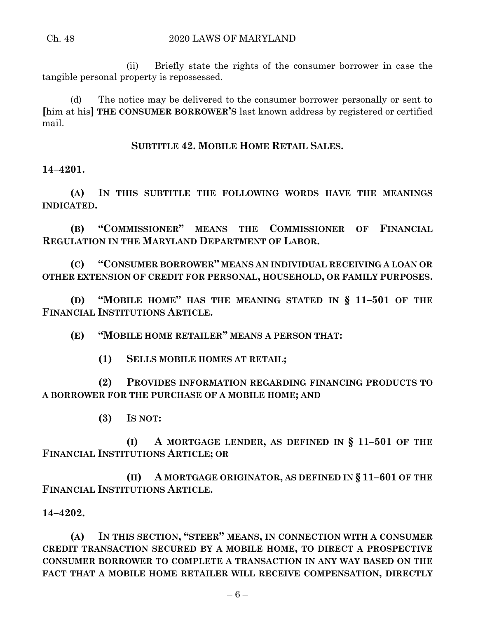(ii) Briefly state the rights of the consumer borrower in case the tangible personal property is repossessed.

(d) The notice may be delivered to the consumer borrower personally or sent to **[**him at his**] THE CONSUMER BORROWER'S** last known address by registered or certified mail.

**SUBTITLE 42. MOBILE HOME RETAIL SALES.**

**14–4201.**

**(A) IN THIS SUBTITLE THE FOLLOWING WORDS HAVE THE MEANINGS INDICATED.**

**(B) "COMMISSIONER" MEANS THE COMMISSIONER OF FINANCIAL REGULATION IN THE MARYLAND DEPARTMENT OF LABOR.**

**(C) "CONSUMER BORROWER" MEANS AN INDIVIDUAL RECEIVING A LOAN OR OTHER EXTENSION OF CREDIT FOR PERSONAL, HOUSEHOLD, OR FAMILY PURPOSES.**

**(D) "MOBILE HOME" HAS THE MEANING STATED IN § 11–501 OF THE FINANCIAL INSTITUTIONS ARTICLE.**

**(E) "MOBILE HOME RETAILER" MEANS A PERSON THAT:**

**(1) SELLS MOBILE HOMES AT RETAIL;**

**(2) PROVIDES INFORMATION REGARDING FINANCING PRODUCTS TO A BORROWER FOR THE PURCHASE OF A MOBILE HOME; AND**

**(3) IS NOT:**

**(I) A MORTGAGE LENDER, AS DEFINED IN § 11–501 OF THE FINANCIAL INSTITUTIONS ARTICLE; OR**

**(II) A MORTGAGE ORIGINATOR, AS DEFINED IN § 11–601 OF THE FINANCIAL INSTITUTIONS ARTICLE.**

**14–4202.**

**(A) IN THIS SECTION, "STEER" MEANS, IN CONNECTION WITH A CONSUMER CREDIT TRANSACTION SECURED BY A MOBILE HOME, TO DIRECT A PROSPECTIVE CONSUMER BORROWER TO COMPLETE A TRANSACTION IN ANY WAY BASED ON THE FACT THAT A MOBILE HOME RETAILER WILL RECEIVE COMPENSATION, DIRECTLY**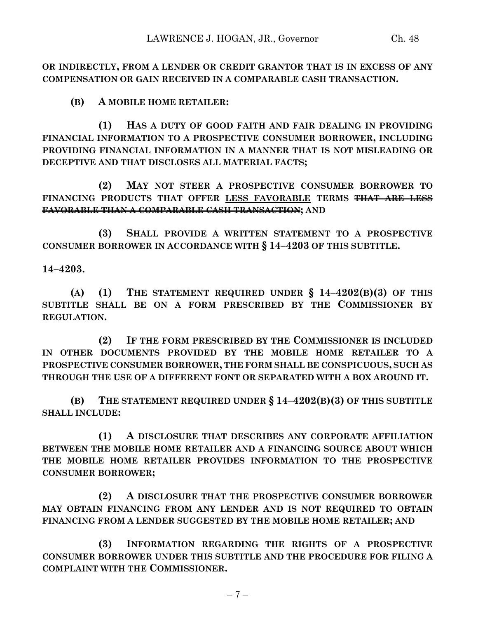**OR INDIRECTLY, FROM A LENDER OR CREDIT GRANTOR THAT IS IN EXCESS OF ANY COMPENSATION OR GAIN RECEIVED IN A COMPARABLE CASH TRANSACTION.**

**(B) A MOBILE HOME RETAILER:**

**(1) HAS A DUTY OF GOOD FAITH AND FAIR DEALING IN PROVIDING FINANCIAL INFORMATION TO A PROSPECTIVE CONSUMER BORROWER, INCLUDING PROVIDING FINANCIAL INFORMATION IN A MANNER THAT IS NOT MISLEADING OR DECEPTIVE AND THAT DISCLOSES ALL MATERIAL FACTS;**

**(2) MAY NOT STEER A PROSPECTIVE CONSUMER BORROWER TO FINANCING PRODUCTS THAT OFFER LESS FAVORABLE TERMS THAT ARE LESS FAVORABLE THAN A COMPARABLE CASH TRANSACTION; AND** 

**(3) SHALL PROVIDE A WRITTEN STATEMENT TO A PROSPECTIVE CONSUMER BORROWER IN ACCORDANCE WITH § 14–4203 OF THIS SUBTITLE.**

**14–4203.**

**(A) (1) THE STATEMENT REQUIRED UNDER § 14–4202(B)(3) OF THIS SUBTITLE SHALL BE ON A FORM PRESCRIBED BY THE COMMISSIONER BY REGULATION.**

**(2) IF THE FORM PRESCRIBED BY THE COMMISSIONER IS INCLUDED IN OTHER DOCUMENTS PROVIDED BY THE MOBILE HOME RETAILER TO A PROSPECTIVE CONSUMER BORROWER, THE FORM SHALL BE CONSPICUOUS, SUCH AS THROUGH THE USE OF A DIFFERENT FONT OR SEPARATED WITH A BOX AROUND IT.**

**(B) THE STATEMENT REQUIRED UNDER § 14–4202(B)(3) OF THIS SUBTITLE SHALL INCLUDE:**

**(1) A DISCLOSURE THAT DESCRIBES ANY CORPORATE AFFILIATION BETWEEN THE MOBILE HOME RETAILER AND A FINANCING SOURCE ABOUT WHICH THE MOBILE HOME RETAILER PROVIDES INFORMATION TO THE PROSPECTIVE CONSUMER BORROWER;**

**(2) A DISCLOSURE THAT THE PROSPECTIVE CONSUMER BORROWER MAY OBTAIN FINANCING FROM ANY LENDER AND IS NOT REQUIRED TO OBTAIN FINANCING FROM A LENDER SUGGESTED BY THE MOBILE HOME RETAILER; AND**

**(3) INFORMATION REGARDING THE RIGHTS OF A PROSPECTIVE CONSUMER BORROWER UNDER THIS SUBTITLE AND THE PROCEDURE FOR FILING A COMPLAINT WITH THE COMMISSIONER.**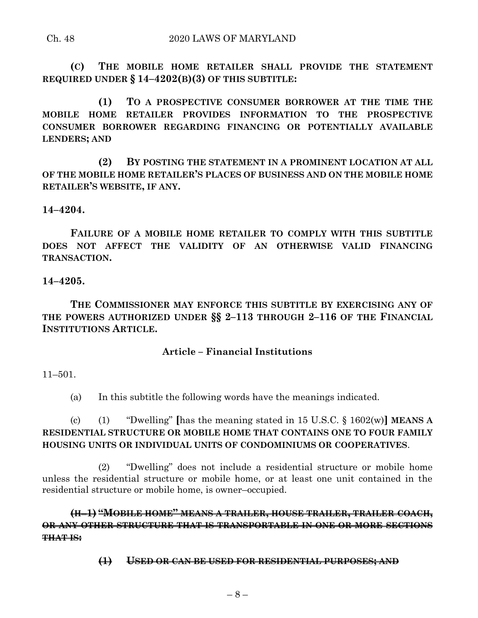### Ch. 48 2020 LAWS OF MARYLAND

**(C) THE MOBILE HOME RETAILER SHALL PROVIDE THE STATEMENT REQUIRED UNDER § 14–4202(B)(3) OF THIS SUBTITLE:**

**(1) TO A PROSPECTIVE CONSUMER BORROWER AT THE TIME THE MOBILE HOME RETAILER PROVIDES INFORMATION TO THE PROSPECTIVE CONSUMER BORROWER REGARDING FINANCING OR POTENTIALLY AVAILABLE LENDERS; AND**

**(2) BY POSTING THE STATEMENT IN A PROMINENT LOCATION AT ALL OF THE MOBILE HOME RETAILER'S PLACES OF BUSINESS AND ON THE MOBILE HOME RETAILER'S WEBSITE, IF ANY.**

### **14–4204.**

**FAILURE OF A MOBILE HOME RETAILER TO COMPLY WITH THIS SUBTITLE DOES NOT AFFECT THE VALIDITY OF AN OTHERWISE VALID FINANCING TRANSACTION.**

### **14–4205.**

**THE COMMISSIONER MAY ENFORCE THIS SUBTITLE BY EXERCISING ANY OF THE POWERS AUTHORIZED UNDER §§ 2–113 THROUGH 2–116 OF THE FINANCIAL INSTITUTIONS ARTICLE.**

### **Article – Financial Institutions**

11–501.

(a) In this subtitle the following words have the meanings indicated.

(c) (1) "Dwelling" **[**has the meaning stated in 15 U.S.C. § 1602(w)**] MEANS A RESIDENTIAL STRUCTURE OR MOBILE HOME THAT CONTAINS ONE TO FOUR FAMILY HOUSING UNITS OR INDIVIDUAL UNITS OF CONDOMINIUMS OR COOPERATIVES**.

(2) "Dwelling" does not include a residential structure or mobile home unless the residential structure or mobile home, or at least one unit contained in the residential structure or mobile home, is owner–occupied.

**(H**–**1) "MOBILE HOME" MEANS A TRAILER, HOUSE TRAILER, TRAILER COACH, OR ANY OTHER STRUCTURE THAT IS TRANSPORTABLE IN ONE OR MORE SECTIONS THAT IS:**

**(1) USED OR CAN BE USED FOR RESIDENTIAL PURPOSES; AND**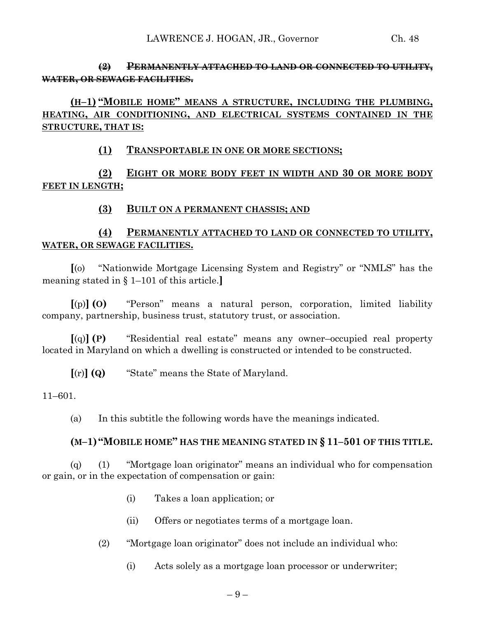## **(2) PERMANENTLY ATTACHED TO LAND OR CONNECTED TO UTILITY, WATER, OR SEWAGE FACILITIES.**

# **(H–1) "MOBILE HOME" MEANS A STRUCTURE, INCLUDING THE PLUMBING, HEATING, AIR CONDITIONING, AND ELECTRICAL SYSTEMS CONTAINED IN THE STRUCTURE, THAT IS:**

### **(1) TRANSPORTABLE IN ONE OR MORE SECTIONS;**

# **(2) EIGHT OR MORE BODY FEET IN WIDTH AND 30 OR MORE BODY FEET IN LENGTH;**

## **(3) BUILT ON A PERMANENT CHASSIS; AND**

# **(4) PERMANENTLY ATTACHED TO LAND OR CONNECTED TO UTILITY, WATER, OR SEWAGE FACILITIES.**

**[**(o) ''Nationwide Mortgage Licensing System and Registry'' or "NMLS" has the meaning stated in § 1–101 of this article.**]**

**[**(p)**] (O)** "Person" means a natural person, corporation, limited liability company, partnership, business trust, statutory trust, or association.

**[**(q)**] (P)** "Residential real estate" means any owner–occupied real property located in Maryland on which a dwelling is constructed or intended to be constructed.

**[**(r)**] (Q)** "State" means the State of Maryland.

11–601.

(a) In this subtitle the following words have the meanings indicated.

### **(M–1) "MOBILE HOME" HAS THE MEANING STATED IN § 11–501 OF THIS TITLE.**

(q) (1) "Mortgage loan originator" means an individual who for compensation or gain, or in the expectation of compensation or gain:

- (i) Takes a loan application; or
- (ii) Offers or negotiates terms of a mortgage loan.
- (2) "Mortgage loan originator" does not include an individual who:
	- (i) Acts solely as a mortgage loan processor or underwriter;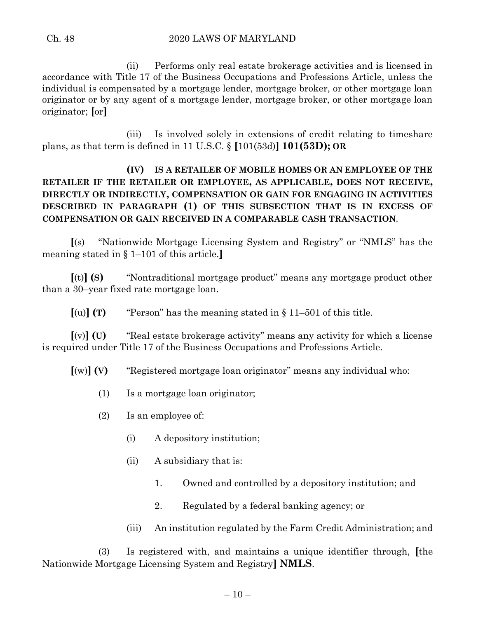(ii) Performs only real estate brokerage activities and is licensed in accordance with Title 17 of the Business Occupations and Professions Article, unless the individual is compensated by a mortgage lender, mortgage broker, or other mortgage loan originator or by any agent of a mortgage lender, mortgage broker, or other mortgage loan originator; **[**or**]**

(iii) Is involved solely in extensions of credit relating to timeshare plans, as that term is defined in 11 U.S.C. § **[**101(53d)**] 101(53D); OR**

# **(IV) IS A RETAILER OF MOBILE HOMES OR AN EMPLOYEE OF THE RETAILER IF THE RETAILER OR EMPLOYEE, AS APPLICABLE, DOES NOT RECEIVE, DIRECTLY OR INDIRECTLY, COMPENSATION OR GAIN FOR ENGAGING IN ACTIVITIES DESCRIBED IN PARAGRAPH (1) OF THIS SUBSECTION THAT IS IN EXCESS OF COMPENSATION OR GAIN RECEIVED IN A COMPARABLE CASH TRANSACTION**.

**[**(s) ''Nationwide Mortgage Licensing System and Registry'' or "NMLS" has the meaning stated in § 1–101 of this article.**]**

**[**(t)**] (S)** "Nontraditional mortgage product" means any mortgage product other than a 30–year fixed rate mortgage loan.

 $[(u)]$  **(T)** "Person" has the meaning stated in  $§$  11–501 of this title.

**[**(v)**] (U)** ''Real estate brokerage activity'' means any activity for which a license is required under Title 17 of the Business Occupations and Professions Article.

**[**(w)**] (V)** ''Registered mortgage loan originator'' means any individual who:

- (1) Is a mortgage loan originator;
- (2) Is an employee of:
	- (i) A depository institution;
	- (ii) A subsidiary that is:
		- 1. Owned and controlled by a depository institution; and
		- 2. Regulated by a federal banking agency; or
	- (iii) An institution regulated by the Farm Credit Administration; and

(3) Is registered with, and maintains a unique identifier through, **[**the Nationwide Mortgage Licensing System and Registry**] NMLS**.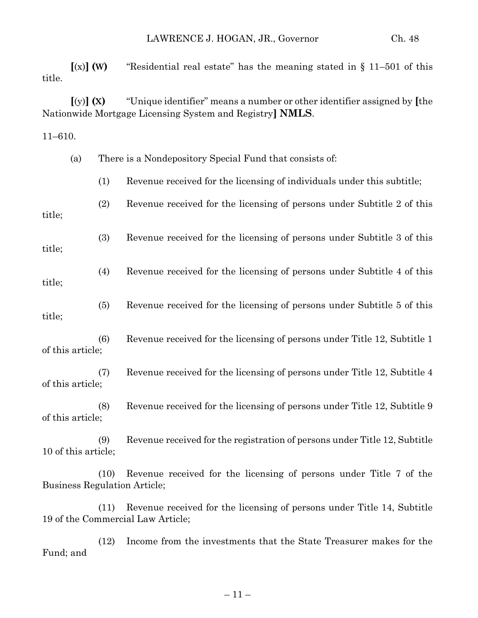**[**(x)**] (W)** "Residential real estate" has the meaning stated in § 11–501 of this title.

**[**(y)**] (X)** "Unique identifier" means a number or other identifier assigned by **[**the Nationwide Mortgage Licensing System and Registry**] NMLS**.

11–610.

|                     | (a) |      | There is a Nondepository Special Fund that consists of:                                                   |
|---------------------|-----|------|-----------------------------------------------------------------------------------------------------------|
|                     |     | (1)  | Revenue received for the licensing of individuals under this subtitle;                                    |
| title;              |     | (2)  | Revenue received for the licensing of persons under Subtitle 2 of this                                    |
| title;              |     | (3)  | Revenue received for the licensing of persons under Subtitle 3 of this                                    |
| title;              |     | (4)  | Revenue received for the licensing of persons under Subtitle 4 of this                                    |
| title;              |     | (5)  | Revenue received for the licensing of persons under Subtitle 5 of this                                    |
| of this article;    |     | (6)  | Revenue received for the licensing of persons under Title 12, Subtitle 1                                  |
| of this article;    |     | (7)  | Revenue received for the licensing of persons under Title 12, Subtitle 4                                  |
| of this article;    |     | (8)  | Revenue received for the licensing of persons under Title 12, Subtitle 9                                  |
| 10 of this article; |     | (9)  | Revenue received for the registration of persons under Title 12, Subtitle                                 |
|                     |     | (10) | Revenue received for the licensing of persons under Title 7 of the<br><b>Business Regulation Article;</b> |

(11) Revenue received for the licensing of persons under Title 14, Subtitle 19 of the Commercial Law Article;

(12) Income from the investments that the State Treasurer makes for the Fund; and